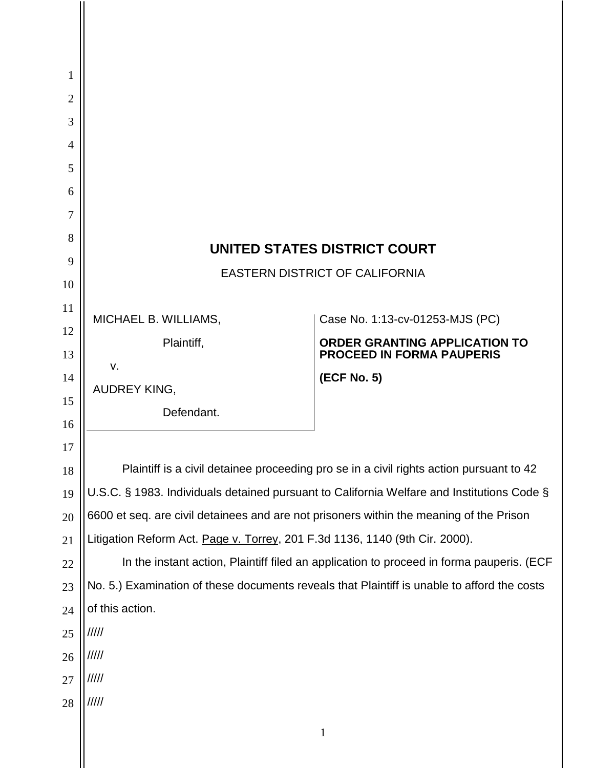| 1              |                                                                                                                                                                                       |                                                                                             |
|----------------|---------------------------------------------------------------------------------------------------------------------------------------------------------------------------------------|---------------------------------------------------------------------------------------------|
| $\overline{2}$ |                                                                                                                                                                                       |                                                                                             |
| 3              |                                                                                                                                                                                       |                                                                                             |
| $\overline{4}$ |                                                                                                                                                                                       |                                                                                             |
| 5              |                                                                                                                                                                                       |                                                                                             |
| 6              |                                                                                                                                                                                       |                                                                                             |
| 7              |                                                                                                                                                                                       |                                                                                             |
| 8              | UNITED STATES DISTRICT COURT                                                                                                                                                          |                                                                                             |
| 9              | <b>EASTERN DISTRICT OF CALIFORNIA</b>                                                                                                                                                 |                                                                                             |
| 10             |                                                                                                                                                                                       |                                                                                             |
| 11             | MICHAEL B. WILLIAMS,                                                                                                                                                                  | Case No. 1:13-cv-01253-MJS (PC)                                                             |
| 12             | Plaintiff,                                                                                                                                                                            | <b>ORDER GRANTING APPLICATION TO</b>                                                        |
| 13             | v.                                                                                                                                                                                    | <b>PROCEED IN FORMA PAUPERIS</b>                                                            |
| 14             | AUDREY KING,                                                                                                                                                                          | (ECF No. 5)                                                                                 |
| 15             | Defendant.                                                                                                                                                                            |                                                                                             |
| 16<br>17       |                                                                                                                                                                                       |                                                                                             |
| 18             |                                                                                                                                                                                       |                                                                                             |
| 19             | Plaintiff is a civil detainee proceeding pro se in a civil rights action pursuant to 42<br>U.S.C. § 1983. Individuals detained pursuant to California Welfare and Institutions Code § |                                                                                             |
| 20             | 6600 et seq. are civil detainees and are not prisoners within the meaning of the Prison                                                                                               |                                                                                             |
| 21             | Litigation Reform Act. Page v. Torrey, 201 F.3d 1136, 1140 (9th Cir. 2000).                                                                                                           |                                                                                             |
| 22             | In the instant action, Plaintiff filed an application to proceed in forma pauperis. (ECF                                                                                              |                                                                                             |
| 23             |                                                                                                                                                                                       | No. 5.) Examination of these documents reveals that Plaintiff is unable to afford the costs |
| 24             | of this action.                                                                                                                                                                       |                                                                                             |
| 25             | /////                                                                                                                                                                                 |                                                                                             |
| 26             | 11111                                                                                                                                                                                 |                                                                                             |
| 27             | /////                                                                                                                                                                                 |                                                                                             |
| 28             | 11111                                                                                                                                                                                 |                                                                                             |
|                |                                                                                                                                                                                       |                                                                                             |